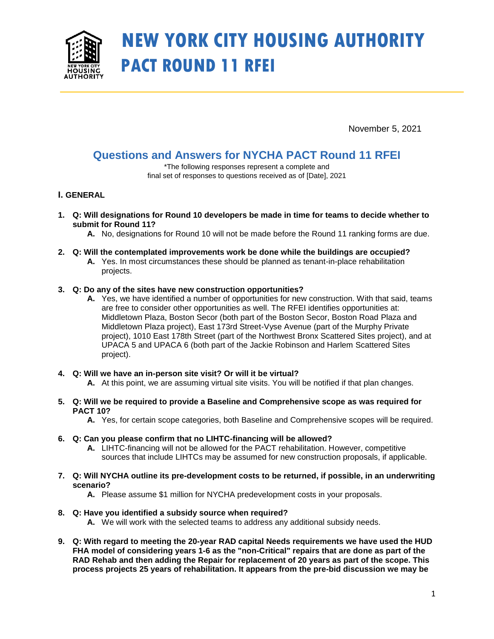

# **NEW YORK CITY HOUSING AUTHORITY PACT ROUND 11 RFEI**

November 5, 2021

## **Questions and Answers for NYCHA PACT Round 11 RFEI**

\*The following responses represent a complete and final set of responses to questions received as of [Date], 2021

### **I. GENERAL**

- **1. Q: Will designations for Round 10 developers be made in time for teams to decide whether to submit for Round 11?**
	- **A.** No, designations for Round 10 will not be made before the Round 11 ranking forms are due.
- **2. Q: Will the contemplated improvements work be done while the buildings are occupied?**
	- **A.** Yes. In most circumstances these should be planned as tenant-in-place rehabilitation projects.

#### **3. Q: Do any of the sites have new construction opportunities?**

- **A.** Yes, we have identified a number of opportunities for new construction. With that said, teams are free to consider other opportunities as well. The RFEI identifies opportunities at: Middletown Plaza, Boston Secor (both part of the Boston Secor, Boston Road Plaza and Middletown Plaza project), East 173rd Street-Vyse Avenue (part of the Murphy Private project), 1010 East 178th Street (part of the Northwest Bronx Scattered Sites project), and at UPACA 5 and UPACA 6 (both part of the Jackie Robinson and Harlem Scattered Sites project).
- **4. Q: Will we have an in-person site visit? Or will it be virtual?**
	- **A.** At this point, we are assuming virtual site visits. You will be notified if that plan changes.
- **5. Q: Will we be required to provide a Baseline and Comprehensive scope as was required for PACT 10?**
	- **A.** Yes, for certain scope categories, both Baseline and Comprehensive scopes will be required.
- **6. Q: Can you please confirm that no LIHTC-financing will be allowed?**
	- **A.** LIHTC-financing will not be allowed for the PACT rehabilitation. However, competitive sources that include LIHTCs may be assumed for new construction proposals, if applicable.
- **7. Q: Will NYCHA outline its pre-development costs to be returned, if possible, in an underwriting scenario?**
	- **A.** Please assume \$1 million for NYCHA predevelopment costs in your proposals.
- **8. Q: Have you identified a subsidy source when required?**
	- **A.** We will work with the selected teams to address any additional subsidy needs.
- **9. Q: With regard to meeting the 20-year RAD capital Needs requirements we have used the HUD FHA model of considering years 1-6 as the "non-Critical" repairs that are done as part of the RAD Rehab and then adding the Repair for replacement of 20 years as part of the scope. This process projects 25 years of rehabilitation. It appears from the pre-bid discussion we may be**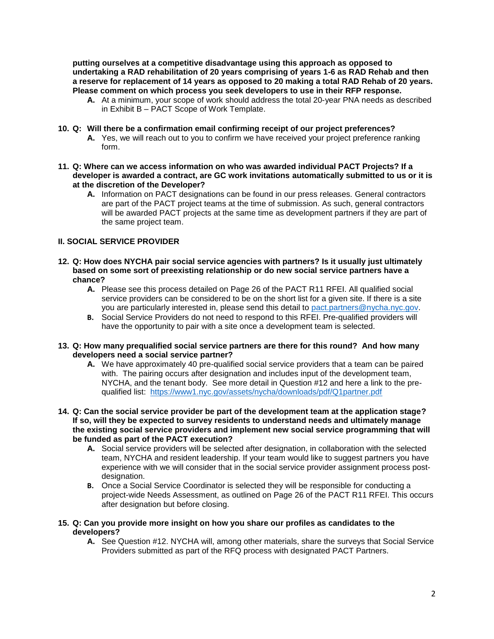**putting ourselves at a competitive disadvantage using this approach as opposed to undertaking a RAD rehabilitation of 20 years comprising of years 1-6 as RAD Rehab and then a reserve for replacement of 14 years as opposed to 20 making a total RAD Rehab of 20 years. Please comment on which process you seek developers to use in their RFP response.**

- **A.** At a minimum, your scope of work should address the total 20-year PNA needs as described in Exhibit B – PACT Scope of Work Template.
- **10. Q: Will there be a confirmation email confirming receipt of our project preferences?**
	- **A.** Yes, we will reach out to you to confirm we have received your project preference ranking form.
- **11. Q: Where can we access information on who was awarded individual PACT Projects? If a developer is awarded a contract, are GC work invitations automatically submitted to us or it is at the discretion of the Developer?**
	- **A.** Information on PACT designations can be found in our press releases. General contractors are part of the PACT project teams at the time of submission. As such, general contractors will be awarded PACT projects at the same time as development partners if they are part of the same project team.

#### **II. SOCIAL SERVICE PROVIDER**

- **12. Q: How does NYCHA pair social service agencies with partners? Is it usually just ultimately based on some sort of preexisting relationship or do new social service partners have a chance?**
	- **A.** Please see this process detailed on Page 26 of the PACT R11 RFEI. All qualified social service providers can be considered to be on the short list for a given site. If there is a site you are particularly interested in, please send this detail to [pact.partners@nycha.nyc.gov.](mailto:pact.partners@nycha.nyc.gov)
	- **B.** Social Service Providers do not need to respond to this RFEI. Pre-qualified providers will have the opportunity to pair with a site once a development team is selected.
- **13. Q: How many prequalified social service partners are there for this round? And how many developers need a social service partner?**
	- **A.** We have approximately 40 pre-qualified social service providers that a team can be paired with. The pairing occurs after designation and includes input of the development team, NYCHA, and the tenant body. See more detail in Question #12 and here a link to the prequalified list: <https://www1.nyc.gov/assets/nycha/downloads/pdf/Q1partner.pdf>
- **14. Q: Can the social service provider be part of the development team at the application stage? If so, will they be expected to survey residents to understand needs and ultimately manage the existing social service providers and implement new social service programming that will be funded as part of the PACT execution?**
	- **A.** Social service providers will be selected after designation, in collaboration with the selected team, NYCHA and resident leadership. If your team would like to suggest partners you have experience with we will consider that in the social service provider assignment process postdesignation.
	- **B.** Once a Social Service Coordinator is selected they will be responsible for conducting a project-wide Needs Assessment, as outlined on Page 26 of the PACT R11 RFEI. This occurs after designation but before closing.
- **15. Q: Can you provide more insight on how you share our profiles as candidates to the developers?**
	- **A.** See Question #12. NYCHA will, among other materials, share the surveys that Social Service Providers submitted as part of the RFQ process with designated PACT Partners.